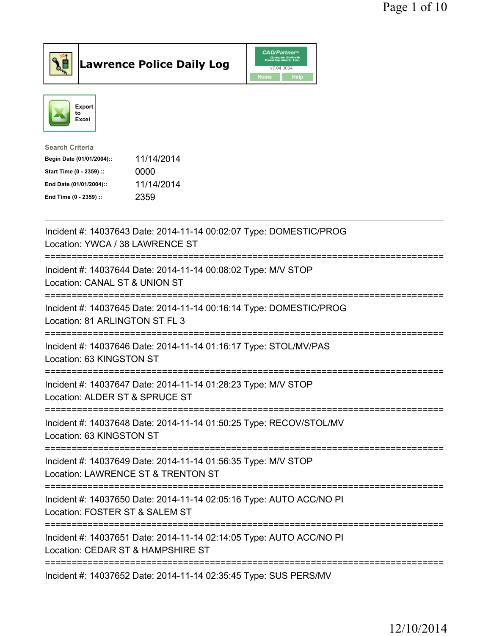



| Search Criteria           |            |
|---------------------------|------------|
| Begin Date (01/01/2004):: | 11/14/2014 |
| Start Time (0 - 2359) ::  | 0000       |
| End Date (01/01/2004)::   | 11/14/2014 |
| End Time (0 - 2359) ::    | 2359       |
|                           |            |

| Incident #: 14037643 Date: 2014-11-14 00:02:07 Type: DOMESTIC/PROG<br>Location: YWCA / 38 LAWRENCE ST<br>========================<br>:========================= |
|-----------------------------------------------------------------------------------------------------------------------------------------------------------------|
| Incident #: 14037644 Date: 2014-11-14 00:08:02 Type: M/V STOP<br>Location: CANAL ST & UNION ST                                                                  |
| Incident #: 14037645 Date: 2014-11-14 00:16:14 Type: DOMESTIC/PROG<br>Location: 81 ARLINGTON ST FL 3<br>;=======================<br>=============               |
| Incident #: 14037646 Date: 2014-11-14 01:16:17 Type: STOL/MV/PAS<br>Location: 63 KINGSTON ST                                                                    |
| Incident #: 14037647 Date: 2014-11-14 01:28:23 Type: M/V STOP<br>Location: ALDER ST & SPRUCE ST<br>:==========================                                  |
| Incident #: 14037648 Date: 2014-11-14 01:50:25 Type: RECOV/STOL/MV<br>Location: 63 KINGSTON ST                                                                  |
| Incident #: 14037649 Date: 2014-11-14 01:56:35 Type: M/V STOP<br>Location: LAWRENCE ST & TRENTON ST<br>-------------<br>:==============================         |
| Incident #: 14037650 Date: 2014-11-14 02:05:16 Type: AUTO ACC/NO PI<br>Location: FOSTER ST & SALEM ST                                                           |
| ====================<br>Incident #: 14037651 Date: 2014-11-14 02:14:05 Type: AUTO ACC/NO PI<br>Location: CEDAR ST & HAMPSHIRE ST                                |
| Incident #: 14037652 Date: 2014-11-14 02:35:45 Type: SUS PERS/MV                                                                                                |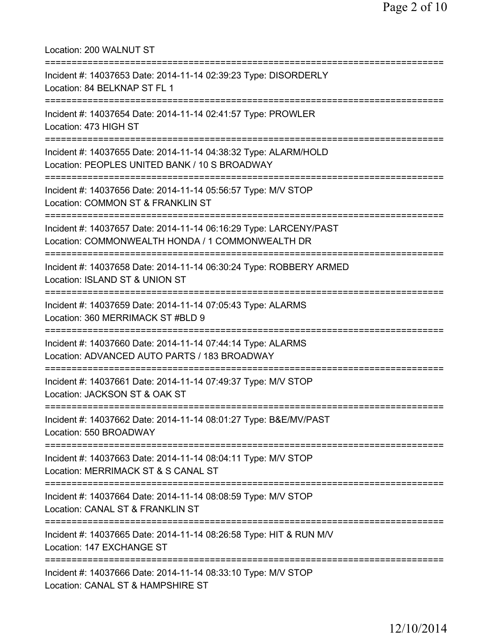Location: 200 WALNUT ST =========================================================================== Incident #: 14037653 Date: 2014-11-14 02:39:23 Type: DISORDERLY Location: 84 BELKNAP ST FL 1 =========================================================================== Incident #: 14037654 Date: 2014-11-14 02:41:57 Type: PROWLER Location: 473 HIGH ST =========================================================================== Incident #: 14037655 Date: 2014-11-14 04:38:32 Type: ALARM/HOLD Location: PEOPLES UNITED BANK / 10 S BROADWAY =========================================================================== Incident #: 14037656 Date: 2014-11-14 05:56:57 Type: M/V STOP Location: COMMON ST & FRANKLIN ST =========================================================================== Incident #: 14037657 Date: 2014-11-14 06:16:29 Type: LARCENY/PAST Location: COMMONWEALTH HONDA / 1 COMMONWEALTH DR =========================================================================== Incident #: 14037658 Date: 2014-11-14 06:30:24 Type: ROBBERY ARMED Location: ISLAND ST & UNION ST =========================================================================== Incident #: 14037659 Date: 2014-11-14 07:05:43 Type: ALARMS Location: 360 MERRIMACK ST #BLD 9 =========================================================================== Incident #: 14037660 Date: 2014-11-14 07:44:14 Type: ALARMS Location: ADVANCED AUTO PARTS / 183 BROADWAY =========================================================================== Incident #: 14037661 Date: 2014-11-14 07:49:37 Type: M/V STOP Location: JACKSON ST & OAK ST =========================================================================== Incident #: 14037662 Date: 2014-11-14 08:01:27 Type: B&E/MV/PAST Location: 550 BROADWAY =========================================================================== Incident #: 14037663 Date: 2014-11-14 08:04:11 Type: M/V STOP Location: MERRIMACK ST & S CANAL ST =========================================================================== Incident #: 14037664 Date: 2014-11-14 08:08:59 Type: M/V STOP Location: CANAL ST & FRANKLIN ST =========================================================================== Incident #: 14037665 Date: 2014-11-14 08:26:58 Type: HIT & RUN M/V Location: 147 EXCHANGE ST =========================================================================== Incident #: 14037666 Date: 2014-11-14 08:33:10 Type: M/V STOP Location: CANAL ST & HAMPSHIRE ST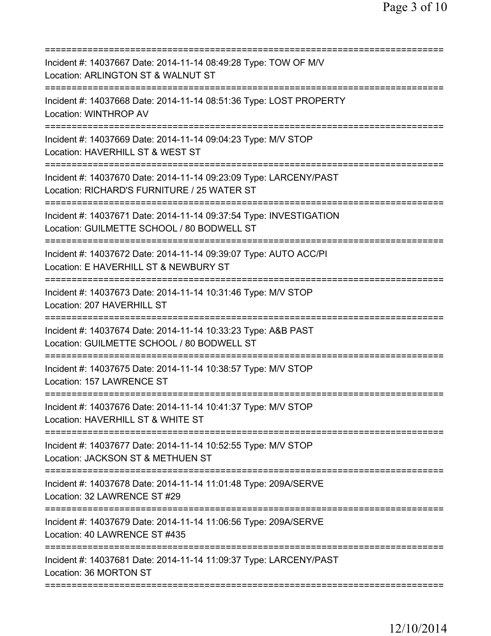| Incident #: 14037667 Date: 2014-11-14 08:49:28 Type: TOW OF M/V<br>Location: ARLINGTON ST & WALNUT ST                                                   |
|---------------------------------------------------------------------------------------------------------------------------------------------------------|
| Incident #: 14037668 Date: 2014-11-14 08:51:36 Type: LOST PROPERTY<br><b>Location: WINTHROP AV</b>                                                      |
| Incident #: 14037669 Date: 2014-11-14 09:04:23 Type: M/V STOP<br>Location: HAVERHILL ST & WEST ST                                                       |
| Incident #: 14037670 Date: 2014-11-14 09:23:09 Type: LARCENY/PAST<br>Location: RICHARD'S FURNITURE / 25 WATER ST<br>;================================== |
| Incident #: 14037671 Date: 2014-11-14 09:37:54 Type: INVESTIGATION<br>Location: GUILMETTE SCHOOL / 80 BODWELL ST<br>----------------------              |
| Incident #: 14037672 Date: 2014-11-14 09:39:07 Type: AUTO ACC/PI<br>Location: E HAVERHILL ST & NEWBURY ST<br>=======================                    |
| Incident #: 14037673 Date: 2014-11-14 10:31:46 Type: M/V STOP<br>Location: 207 HAVERHILL ST                                                             |
| Incident #: 14037674 Date: 2014-11-14 10:33:23 Type: A&B PAST<br>Location: GUILMETTE SCHOOL / 80 BODWELL ST                                             |
| Incident #: 14037675 Date: 2014-11-14 10:38:57 Type: M/V STOP<br>Location: 157 LAWRENCE ST                                                              |
| Incident #: 14037676 Date: 2014-11-14 10:41:37 Type: M/V STOP<br>Location: HAVERHILL ST & WHITE ST                                                      |
| =============================<br>==============<br>Incident #: 14037677 Date: 2014-11-14 10:52:55 Type: M/V STOP<br>Location: JACKSON ST & METHUEN ST   |
| Incident #: 14037678 Date: 2014-11-14 11:01:48 Type: 209A/SERVE<br>Location: 32 LAWRENCE ST #29                                                         |
| Incident #: 14037679 Date: 2014-11-14 11:06:56 Type: 209A/SERVE<br>Location: 40 LAWRENCE ST #435                                                        |
| Incident #: 14037681 Date: 2014-11-14 11:09:37 Type: LARCENY/PAST<br>Location: 36 MORTON ST                                                             |
|                                                                                                                                                         |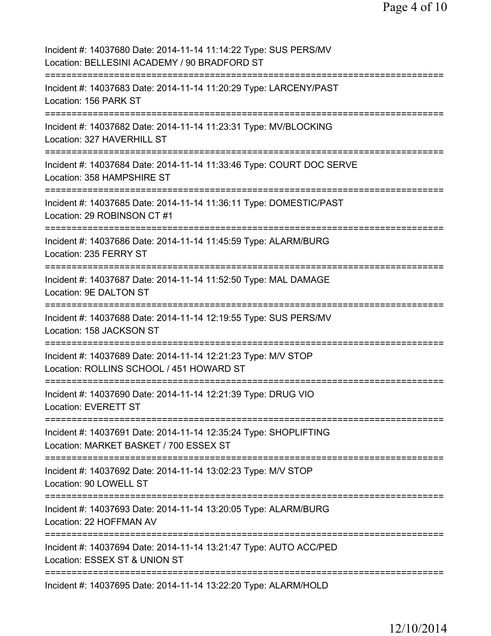| Incident #: 14037680 Date: 2014-11-14 11:14:22 Type: SUS PERS/MV<br>Location: BELLESINI ACADEMY / 90 BRADFORD ST                            |
|---------------------------------------------------------------------------------------------------------------------------------------------|
| Incident #: 14037683 Date: 2014-11-14 11:20:29 Type: LARCENY/PAST<br>Location: 156 PARK ST<br>:==================================           |
| Incident #: 14037682 Date: 2014-11-14 11:23:31 Type: MV/BLOCKING<br>Location: 327 HAVERHILL ST                                              |
| Incident #: 14037684 Date: 2014-11-14 11:33:46 Type: COURT DOC SERVE<br>Location: 358 HAMPSHIRE ST<br>===================================== |
| Incident #: 14037685 Date: 2014-11-14 11:36:11 Type: DOMESTIC/PAST<br>Location: 29 ROBINSON CT #1                                           |
| Incident #: 14037686 Date: 2014-11-14 11:45:59 Type: ALARM/BURG<br>Location: 235 FERRY ST<br>.----------------------------------            |
| Incident #: 14037687 Date: 2014-11-14 11:52:50 Type: MAL DAMAGE<br>Location: 9E DALTON ST<br>;=====================================         |
| Incident #: 14037688 Date: 2014-11-14 12:19:55 Type: SUS PERS/MV<br>Location: 158 JACKSON ST<br>===================================         |
| Incident #: 14037689 Date: 2014-11-14 12:21:23 Type: M/V STOP<br>Location: ROLLINS SCHOOL / 451 HOWARD ST                                   |
| Incident #: 14037690 Date: 2014-11-14 12:21:39 Type: DRUG VIO<br>Location: EVERETT ST                                                       |
| Incident #: 14037691 Date: 2014-11-14 12:35:24 Type: SHOPLIFTING<br>Location: MARKET BASKET / 700 ESSEX ST                                  |
| Incident #: 14037692 Date: 2014-11-14 13:02:23 Type: M/V STOP<br>Location: 90 LOWELL ST                                                     |
| Incident #: 14037693 Date: 2014-11-14 13:20:05 Type: ALARM/BURG<br>Location: 22 HOFFMAN AV                                                  |
| Incident #: 14037694 Date: 2014-11-14 13:21:47 Type: AUTO ACC/PED<br>Location: ESSEX ST & UNION ST                                          |
| Incident #: 14037695 Date: 2014-11-14 13:22:20 Type: ALARM/HOLD                                                                             |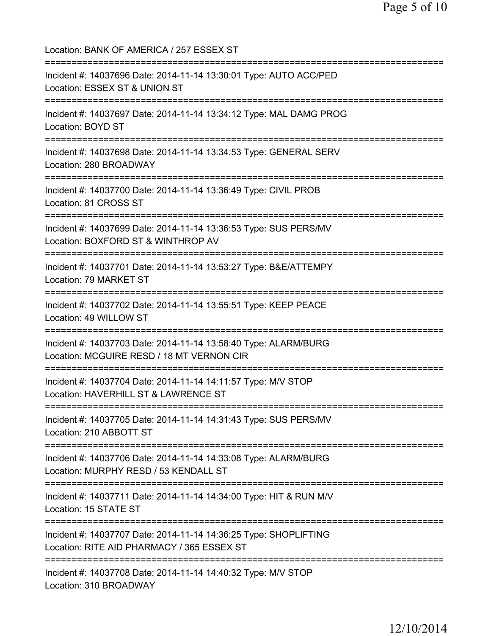Location: BANK OF AMERICA / 257 ESSEX ST =========================================================================== Incident #: 14037696 Date: 2014-11-14 13:30:01 Type: AUTO ACC/PED Location: ESSEX ST & UNION ST =========================================================================== Incident #: 14037697 Date: 2014-11-14 13:34:12 Type: MAL DAMG PROG Location: BOYD ST =========================================================================== Incident #: 14037698 Date: 2014-11-14 13:34:53 Type: GENERAL SERV Location: 280 BROADWAY =========================================================================== Incident #: 14037700 Date: 2014-11-14 13:36:49 Type: CIVIL PROB Location: 81 CROSS ST =========================================================================== Incident #: 14037699 Date: 2014-11-14 13:36:53 Type: SUS PERS/MV Location: BOXFORD ST & WINTHROP AV =========================================================================== Incident #: 14037701 Date: 2014-11-14 13:53:27 Type: B&E/ATTEMPY Location: 79 MARKET ST =========================================================================== Incident #: 14037702 Date: 2014-11-14 13:55:51 Type: KEEP PEACE Location: 49 WILLOW ST =========================================================================== Incident #: 14037703 Date: 2014-11-14 13:58:40 Type: ALARM/BURG Location: MCGUIRE RESD / 18 MT VERNON CIR =========================================================================== Incident #: 14037704 Date: 2014-11-14 14:11:57 Type: M/V STOP Location: HAVERHILL ST & LAWRENCE ST =========================================================================== Incident #: 14037705 Date: 2014-11-14 14:31:43 Type: SUS PERS/MV Location: 210 ABBOTT ST =========================================================================== Incident #: 14037706 Date: 2014-11-14 14:33:08 Type: ALARM/BURG Location: MURPHY RESD / 53 KENDALL ST =========================================================================== Incident #: 14037711 Date: 2014-11-14 14:34:00 Type: HIT & RUN M/V Location: 15 STATE ST =========================================================================== Incident #: 14037707 Date: 2014-11-14 14:36:25 Type: SHOPLIFTING Location: RITE AID PHARMACY / 365 ESSEX ST =========================================================================== Incident #: 14037708 Date: 2014-11-14 14:40:32 Type: M/V STOP Location: 310 BROADWAY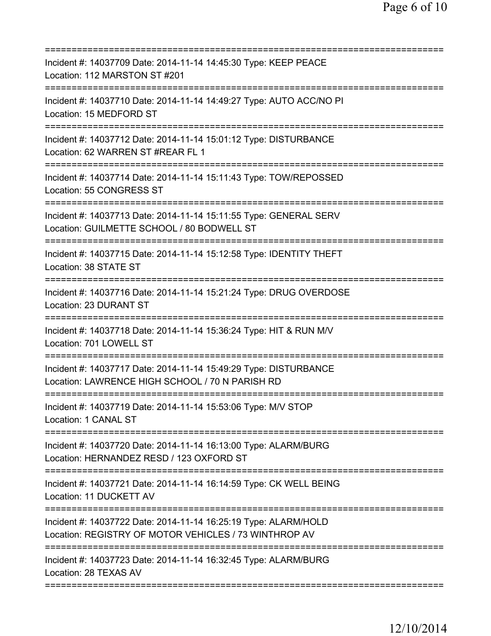| ===========================                                                                                                 |
|-----------------------------------------------------------------------------------------------------------------------------|
| Incident #: 14037709 Date: 2014-11-14 14:45:30 Type: KEEP PEACE<br>Location: 112 MARSTON ST #201                            |
| Incident #: 14037710 Date: 2014-11-14 14:49:27 Type: AUTO ACC/NO PI<br>Location: 15 MEDFORD ST                              |
| Incident #: 14037712 Date: 2014-11-14 15:01:12 Type: DISTURBANCE<br>Location: 62 WARREN ST #REAR FL 1                       |
| ====================<br>Incident #: 14037714 Date: 2014-11-14 15:11:43 Type: TOW/REPOSSED<br>Location: 55 CONGRESS ST       |
| Incident #: 14037713 Date: 2014-11-14 15:11:55 Type: GENERAL SERV<br>Location: GUILMETTE SCHOOL / 80 BODWELL ST             |
| ---------------------------<br>Incident #: 14037715 Date: 2014-11-14 15:12:58 Type: IDENTITY THEFT<br>Location: 38 STATE ST |
| Incident #: 14037716 Date: 2014-11-14 15:21:24 Type: DRUG OVERDOSE<br>Location: 23 DURANT ST                                |
| Incident #: 14037718 Date: 2014-11-14 15:36:24 Type: HIT & RUN M/V<br>Location: 701 LOWELL ST                               |
| Incident #: 14037717 Date: 2014-11-14 15:49:29 Type: DISTURBANCE<br>Location: LAWRENCE HIGH SCHOOL / 70 N PARISH RD         |
| Incident #: 14037719 Date: 2014-11-14 15:53:06 Type: M/V STOP<br>Location: 1 CANAL ST                                       |
| Incident #: 14037720 Date: 2014-11-14 16:13:00 Type: ALARM/BURG<br>Location: HERNANDEZ RESD / 123 OXFORD ST                 |
| Incident #: 14037721 Date: 2014-11-14 16:14:59 Type: CK WELL BEING<br>Location: 11 DUCKETT AV                               |
| Incident #: 14037722 Date: 2014-11-14 16:25:19 Type: ALARM/HOLD<br>Location: REGISTRY OF MOTOR VEHICLES / 73 WINTHROP AV    |
| ============================<br>Incident #: 14037723 Date: 2014-11-14 16:32:45 Type: ALARM/BURG<br>Location: 28 TEXAS AV    |
|                                                                                                                             |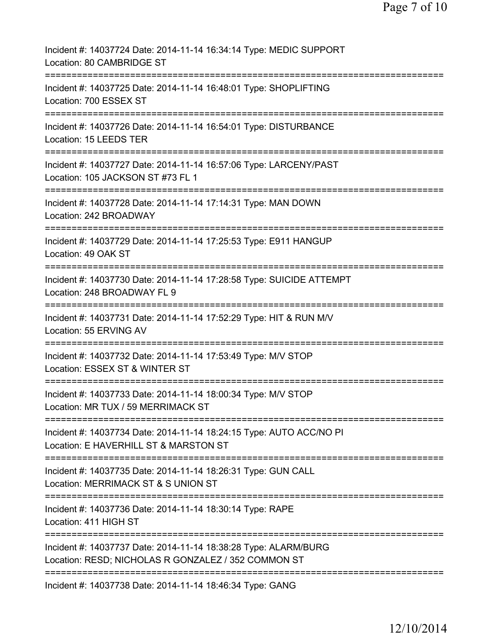| Incident #: 14037724 Date: 2014-11-14 16:34:14 Type: MEDIC SUPPORT<br>Location: 80 CAMBRIDGE ST                        |
|------------------------------------------------------------------------------------------------------------------------|
| Incident #: 14037725 Date: 2014-11-14 16:48:01 Type: SHOPLIFTING<br>Location: 700 ESSEX ST                             |
| Incident #: 14037726 Date: 2014-11-14 16:54:01 Type: DISTURBANCE<br>Location: 15 LEEDS TER                             |
| Incident #: 14037727 Date: 2014-11-14 16:57:06 Type: LARCENY/PAST<br>Location: 105 JACKSON ST #73 FL 1                 |
| Incident #: 14037728 Date: 2014-11-14 17:14:31 Type: MAN DOWN<br>Location: 242 BROADWAY<br>===============             |
| Incident #: 14037729 Date: 2014-11-14 17:25:53 Type: E911 HANGUP<br>Location: 49 OAK ST                                |
| Incident #: 14037730 Date: 2014-11-14 17:28:58 Type: SUICIDE ATTEMPT<br>Location: 248 BROADWAY FL 9                    |
| Incident #: 14037731 Date: 2014-11-14 17:52:29 Type: HIT & RUN M/V<br>Location: 55 ERVING AV                           |
| Incident #: 14037732 Date: 2014-11-14 17:53:49 Type: M/V STOP<br>Location: ESSEX ST & WINTER ST                        |
| ============<br>Incident #: 14037733 Date: 2014-11-14 18:00:34 Type: M/V STOP<br>Location: MR TUX / 59 MERRIMACK ST    |
| Incident #: 14037734 Date: 2014-11-14 18:24:15 Type: AUTO ACC/NO PI<br>Location: E HAVERHILL ST & MARSTON ST           |
| Incident #: 14037735 Date: 2014-11-14 18:26:31 Type: GUN CALL<br>Location: MERRIMACK ST & S UNION ST                   |
| Incident #: 14037736 Date: 2014-11-14 18:30:14 Type: RAPE<br>Location: 411 HIGH ST                                     |
| Incident #: 14037737 Date: 2014-11-14 18:38:28 Type: ALARM/BURG<br>Location: RESD; NICHOLAS R GONZALEZ / 352 COMMON ST |
| =========================<br>Incident #: 14037738 Date: 2014-11-14 18:46:34 Type: GANG                                 |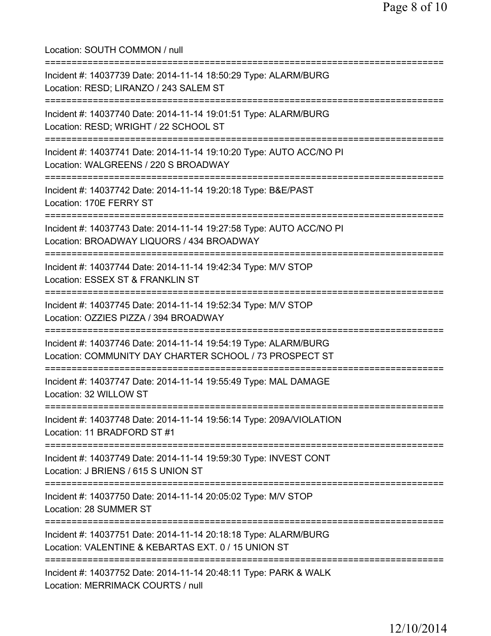Location: SOUTH COMMON / null =========================================================================== Incident #: 14037739 Date: 2014-11-14 18:50:29 Type: ALARM/BURG Location: RESD; LIRANZO / 243 SALEM ST =========================================================================== Incident #: 14037740 Date: 2014-11-14 19:01:51 Type: ALARM/BURG Location: RESD; WRIGHT / 22 SCHOOL ST =========================================================================== Incident #: 14037741 Date: 2014-11-14 19:10:20 Type: AUTO ACC/NO PI Location: WALGREENS / 220 S BROADWAY =========================================================================== Incident #: 14037742 Date: 2014-11-14 19:20:18 Type: B&E/PAST Location: 170E FERRY ST =========================================================================== Incident #: 14037743 Date: 2014-11-14 19:27:58 Type: AUTO ACC/NO PI Location: BROADWAY LIQUORS / 434 BROADWAY =========================================================================== Incident #: 14037744 Date: 2014-11-14 19:42:34 Type: M/V STOP Location: ESSEX ST & FRANKLIN ST =========================================================================== Incident #: 14037745 Date: 2014-11-14 19:52:34 Type: M/V STOP Location: OZZIES PIZZA / 394 BROADWAY =========================================================================== Incident #: 14037746 Date: 2014-11-14 19:54:19 Type: ALARM/BURG Location: COMMUNITY DAY CHARTER SCHOOL / 73 PROSPECT ST =========================================================================== Incident #: 14037747 Date: 2014-11-14 19:55:49 Type: MAL DAMAGE Location: 32 WILLOW ST =========================================================================== Incident #: 14037748 Date: 2014-11-14 19:56:14 Type: 209A/VIOLATION Location: 11 BRADFORD ST #1 =========================================================================== Incident #: 14037749 Date: 2014-11-14 19:59:30 Type: INVEST CONT Location: J BRIENS / 615 S UNION ST =========================================================================== Incident #: 14037750 Date: 2014-11-14 20:05:02 Type: M/V STOP Location: 28 SUMMER ST =========================================================================== Incident #: 14037751 Date: 2014-11-14 20:18:18 Type: ALARM/BURG Location: VALENTINE & KEBARTAS EXT. 0 / 15 UNION ST =========================================================================== Incident #: 14037752 Date: 2014-11-14 20:48:11 Type: PARK & WALK Location: MERRIMACK COURTS / null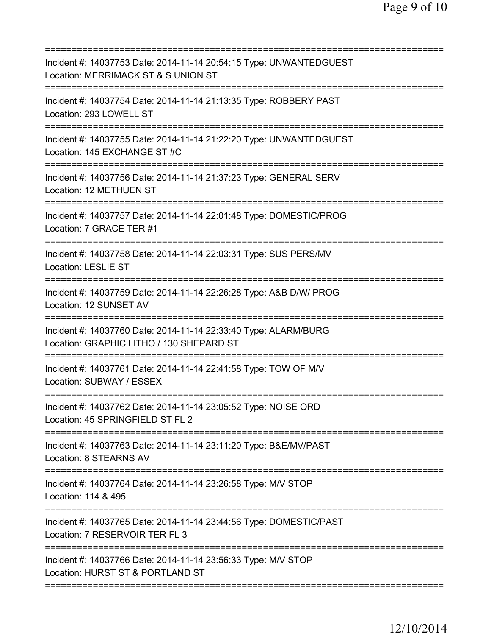| Incident #: 14037753 Date: 2014-11-14 20:54:15 Type: UNWANTEDGUEST<br>Location: MERRIMACK ST & S UNION ST                 |
|---------------------------------------------------------------------------------------------------------------------------|
| Incident #: 14037754 Date: 2014-11-14 21:13:35 Type: ROBBERY PAST<br>Location: 293 LOWELL ST                              |
| Incident #: 14037755 Date: 2014-11-14 21:22:20 Type: UNWANTEDGUEST<br>Location: 145 EXCHANGE ST #C                        |
| Incident #: 14037756 Date: 2014-11-14 21:37:23 Type: GENERAL SERV<br>Location: 12 METHUEN ST                              |
| Incident #: 14037757 Date: 2014-11-14 22:01:48 Type: DOMESTIC/PROG<br>Location: 7 GRACE TER #1                            |
| Incident #: 14037758 Date: 2014-11-14 22:03:31 Type: SUS PERS/MV<br>Location: LESLIE ST                                   |
| Incident #: 14037759 Date: 2014-11-14 22:26:28 Type: A&B D/W/ PROG<br>Location: 12 SUNSET AV                              |
| Incident #: 14037760 Date: 2014-11-14 22:33:40 Type: ALARM/BURG<br>Location: GRAPHIC LITHO / 130 SHEPARD ST               |
| Incident #: 14037761 Date: 2014-11-14 22:41:58 Type: TOW OF M/V<br>Location: SUBWAY / ESSEX                               |
| Incident #: 14037762 Date: 2014-11-14 23:05:52 Type: NOISE ORD<br>Location: 45 SPRINGFIELD ST FL 2                        |
| ===========================<br>Incident #: 14037763 Date: 2014-11-14 23:11:20 Type: B&E/MV/PAST<br>Location: 8 STEARNS AV |
| Incident #: 14037764 Date: 2014-11-14 23:26:58 Type: M/V STOP<br>Location: 114 & 495                                      |
| Incident #: 14037765 Date: 2014-11-14 23:44:56 Type: DOMESTIC/PAST<br>Location: 7 RESERVOIR TER FL 3                      |
| Incident #: 14037766 Date: 2014-11-14 23:56:33 Type: M/V STOP<br>Location: HURST ST & PORTLAND ST                         |
|                                                                                                                           |